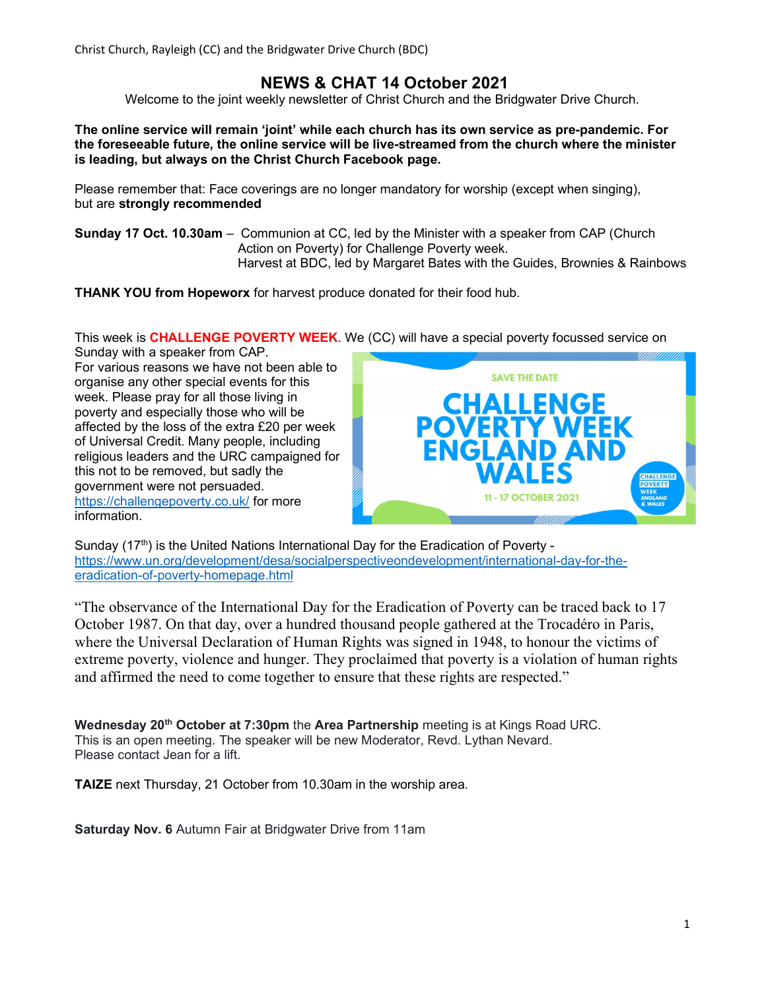Christ Church, Rayleigh (CC) and the Bridgwater Drive Church (BDC)

# NEWS & CHAT 14 October 2021

Welcome to the joint weekly newsletter of Christ Church and the Bridgwater Drive Church.

The online service will remain 'joint' while each church has its own service as pre-pandemic. For the foreseeable future, the online service will be live-streamed from the church where the minister is leading, but always on the Christ Church Facebook page.

Please remember that: Face coverings are no longer mandatory for worship (except when singing), but are strongly recommended

Sunday 17 Oct. 10.30am – Communion at CC, led by the Minister with a speaker from CAP (Church Action on Poverty) for Challenge Poverty week. Harvest at BDC, led by Margaret Bates with the Guides, Brownies & Rainbows

THANK YOU from Hopeworx for harvest produce donated for their food hub.

This week is **CHALLENGE POVERTY WEEK**. We (CC) will have a special poverty focussed service on

Sunday with a speaker from CAP. For various reasons we have not been able to organise any other special events for this week. Please pray for all those living in poverty and especially those who will be affected by the loss of the extra £20 per week of Universal Credit. Many people, including religious leaders and the URC campaigned for this not to be removed, but sadly the government were not persuaded. https://challengepoverty.co.uk/ for more information.



Sunday  $(17<sup>th</sup>)$  is the United Nations International Day for the Eradication of Poverty https://www.un.org/development/desa/socialperspectiveondevelopment/international-day-for-theeradication-of-poverty-homepage.html

"The observance of the International Day for the Eradication of Poverty can be traced back to 17 October 1987. On that day, over a hundred thousand people gathered at the Trocadéro in Paris, where the Universal Declaration of Human Rights was signed in 1948, to honour the victims of extreme poverty, violence and hunger. They proclaimed that poverty is a violation of human rights and affirmed the need to come together to ensure that these rights are respected."

Wednesday 20<sup>th</sup> October at 7:30pm the Area Partnership meeting is at Kings Road URC. This is an open meeting. The speaker will be new Moderator, Revd. Lythan Nevard. Please contact Jean for a lift.

TAIZE next Thursday, 21 October from 10.30am in the worship area.

**Saturday Nov. 6 Autumn Fair at Bridgwater Drive from 11am**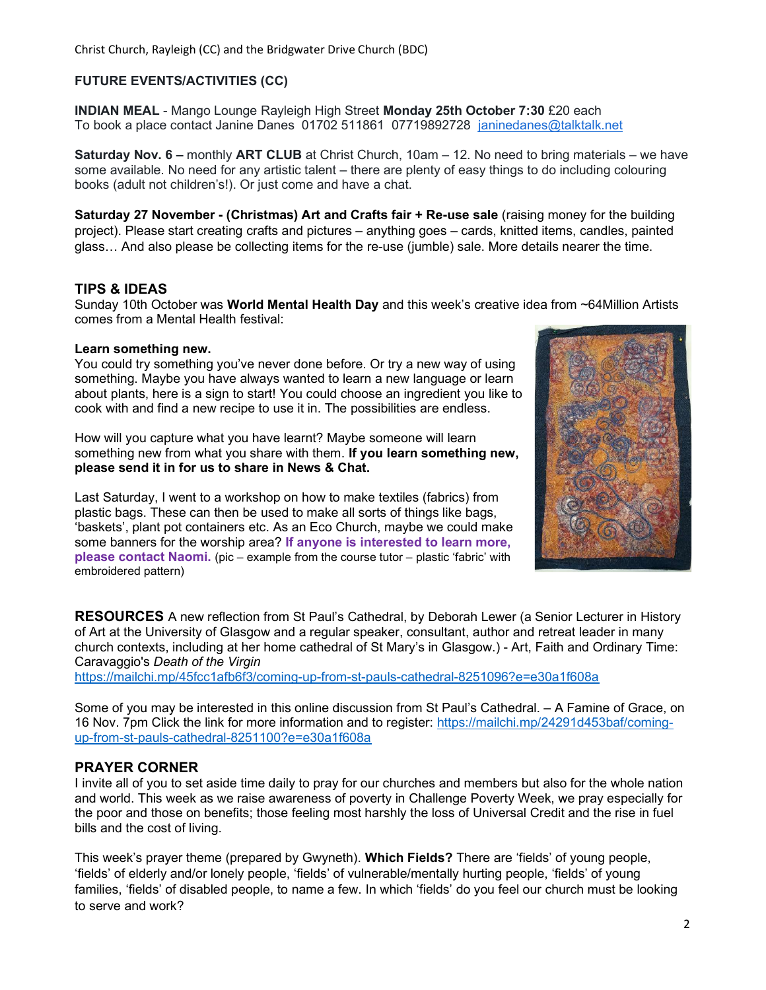### FUTURE EVENTS/ACTIVITIES (CC)

INDIAN MEAL - Mango Lounge Rayleigh High Street Monday 25th October 7:30 £20 each To book a place contact Janine Danes 01702 511861 07719892728 janinedanes@talktalk.net

**Saturday Nov. 6 –** monthly **ART CLUB** at Christ Church, 10am – 12. No need to bring materials – we have some available. No need for any artistic talent – there are plenty of easy things to do including colouring books (adult not children's!). Or just come and have a chat.

Saturday 27 November - (Christmas) Art and Crafts fair + Re-use sale (raising money for the building project). Please start creating crafts and pictures – anything goes – cards, knitted items, candles, painted glass… And also please be collecting items for the re-use (jumble) sale. More details nearer the time.

#### TIPS & IDEAS

Sunday 10th October was World Mental Health Day and this week's creative idea from ~64Million Artists comes from a Mental Health festival:

#### Learn something new.

You could try something you've never done before. Or try a new way of using something. Maybe you have always wanted to learn a new language or learn about plants, here is a sign to start! You could choose an ingredient you like to cook with and find a new recipe to use it in. The possibilities are endless.

How will you capture what you have learnt? Maybe someone will learn something new from what you share with them. If you learn something new, please send it in for us to share in News & Chat.

Last Saturday, I went to a workshop on how to make textiles (fabrics) from plastic bags. These can then be used to make all sorts of things like bags, 'baskets', plant pot containers etc. As an Eco Church, maybe we could make some banners for the worship area? If anyone is interested to learn more, please contact Naomi. (pic – example from the course tutor – plastic 'fabric' with embroidered pattern)



RESOURCES A new reflection from St Paul's Cathedral, by Deborah Lewer (a Senior Lecturer in History of Art at the University of Glasgow and a regular speaker, consultant, author and retreat leader in many church contexts, including at her home cathedral of St Mary's in Glasgow.) - Art, Faith and Ordinary Time: Caravaggio's Death of the Virgin

https://mailchi.mp/45fcc1afb6f3/coming-up-from-st-pauls-cathedral-8251096?e=e30a1f608a

Some of you may be interested in this online discussion from St Paul's Cathedral. – A Famine of Grace, on 16 Nov. 7pm Click the link for more information and to register: https://mailchi.mp/24291d453baf/comingup-from-st-pauls-cathedral-8251100?e=e30a1f608a

#### PRAYER CORNER

I invite all of you to set aside time daily to pray for our churches and members but also for the whole nation and world. This week as we raise awareness of poverty in Challenge Poverty Week, we pray especially for the poor and those on benefits; those feeling most harshly the loss of Universal Credit and the rise in fuel bills and the cost of living.

This week's prayer theme (prepared by Gwyneth). Which Fields? There are 'fields' of young people, 'fields' of elderly and/or lonely people, 'fields' of vulnerable/mentally hurting people, 'fields' of young families, 'fields' of disabled people, to name a few. In which 'fields' do you feel our church must be looking to serve and work?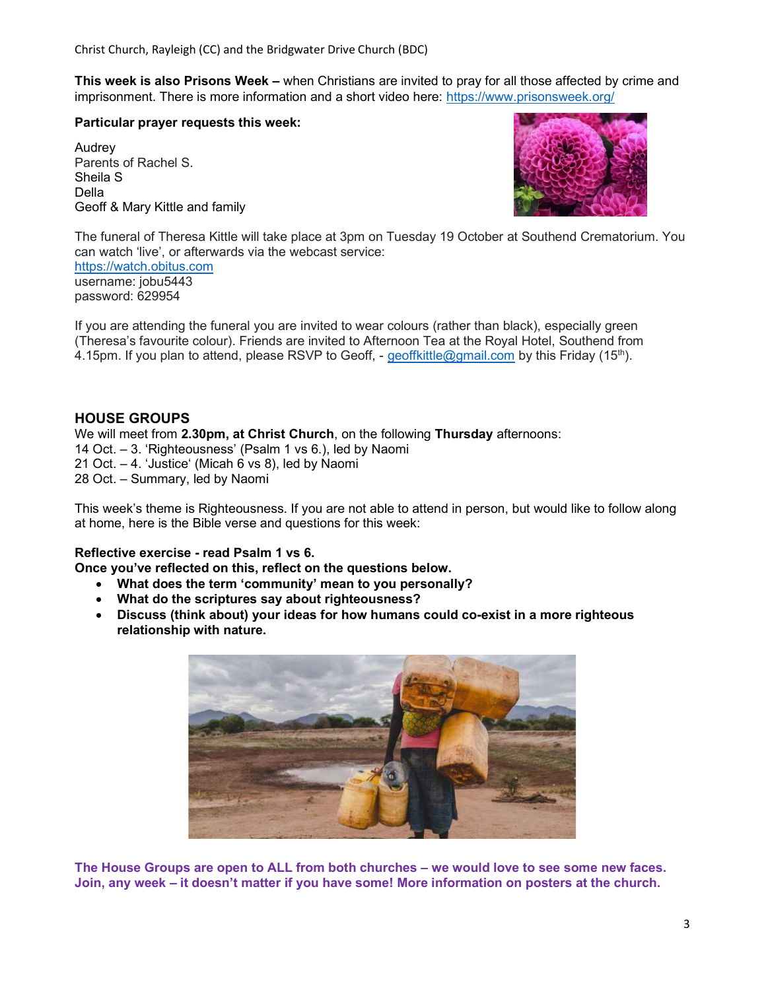This week is also Prisons Week – when Christians are invited to pray for all those affected by crime and imprisonment. There is more information and a short video here: https://www.prisonsweek.org/

Particular prayer requests this week:

Audrey Parents of Rachel S. Sheila S Della Geoff & Mary Kittle and family



The funeral of Theresa Kittle will take place at 3pm on Tuesday 19 October at Southend Crematorium. You can watch 'live', or afterwards via the webcast service:

https://watch.obitus.com username: jobu5443 password: 629954

If you are attending the funeral you are invited to wear colours (rather than black), especially green (Theresa's favourite colour). Friends are invited to Afternoon Tea at the Royal Hotel, Southend from 4.15pm. If you plan to attend, please RSVP to Geoff, - geoffkittle@gmail.com by this Friday (15<sup>th</sup>).

## HOUSE GROUPS

We will meet from 2.30pm, at Christ Church, on the following Thursday afternoons:

- 14 Oct. 3. 'Righteousness' (Psalm 1 vs 6.), led by Naomi
- 21 Oct. 4. 'Justice' (Micah 6 vs 8), led by Naomi

28 Oct. – Summary, led by Naomi

This week's theme is Righteousness. If you are not able to attend in person, but would like to follow along at home, here is the Bible verse and questions for this week:

#### Reflective exercise - read Psalm 1 vs 6.

Once you've reflected on this, reflect on the questions below.

- What does the term 'community' mean to you personally?
- What do the scriptures say about righteousness?
- Discuss (think about) your ideas for how humans could co-exist in a more righteous relationship with nature.



The House Groups are open to ALL from both churches – we would love to see some new faces. Join, any week – it doesn't matter if you have some! More information on posters at the church.